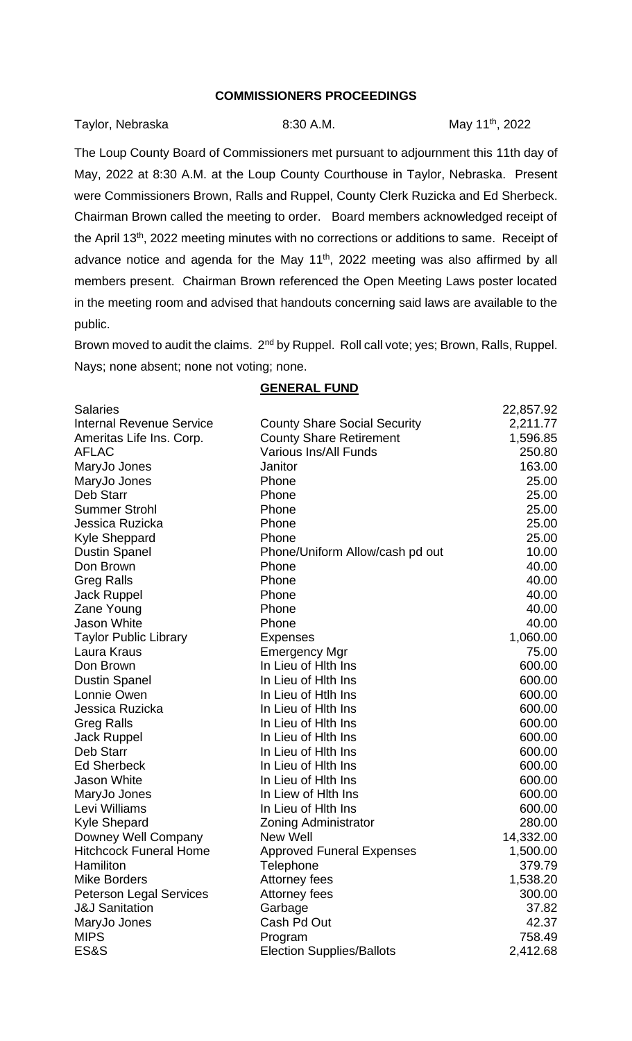## **COMMISSIONERS PROCEEDINGS**

| Taylor, Nebraska | 8:30 A.M. | May 11 <sup>th</sup> , 2022 |
|------------------|-----------|-----------------------------|
|                  |           |                             |

The Loup County Board of Commissioners met pursuant to adjournment this 11th day of May, 2022 at 8:30 A.M. at the Loup County Courthouse in Taylor, Nebraska. Present were Commissioners Brown, Ralls and Ruppel, County Clerk Ruzicka and Ed Sherbeck. Chairman Brown called the meeting to order. Board members acknowledged receipt of the April 13<sup>th</sup>, 2022 meeting minutes with no corrections or additions to same. Receipt of advance notice and agenda for the May 11<sup>th</sup>, 2022 meeting was also affirmed by all members present. Chairman Brown referenced the Open Meeting Laws poster located in the meeting room and advised that handouts concerning said laws are available to the public.

Brown moved to audit the claims. 2<sup>nd</sup> by Ruppel. Roll call vote; yes; Brown, Ralls, Ruppel. Nays; none absent; none not voting; none.

**GENERAL FUND**

| <b>Salaries</b>                 |                                     | 22,857.92 |
|---------------------------------|-------------------------------------|-----------|
| <b>Internal Revenue Service</b> | <b>County Share Social Security</b> | 2,211.77  |
| Ameritas Life Ins. Corp.        | <b>County Share Retirement</b>      | 1,596.85  |
| <b>AFLAC</b>                    | <b>Various Ins/All Funds</b>        | 250.80    |
| MaryJo Jones                    | Janitor                             | 163.00    |
| MaryJo Jones                    | Phone                               | 25.00     |
| Deb Starr                       | Phone                               | 25.00     |
| <b>Summer Strohl</b>            | Phone                               | 25.00     |
| Jessica Ruzicka                 | Phone                               | 25.00     |
| Kyle Sheppard                   | Phone                               | 25.00     |
| <b>Dustin Spanel</b>            | Phone/Uniform Allow/cash pd out     | 10.00     |
| Don Brown                       | Phone                               | 40.00     |
| <b>Greg Ralls</b>               | Phone                               | 40.00     |
| <b>Jack Ruppel</b>              | Phone                               | 40.00     |
| Zane Young                      | Phone                               | 40.00     |
| <b>Jason White</b>              | Phone                               | 40.00     |
| <b>Taylor Public Library</b>    | <b>Expenses</b>                     | 1,060.00  |
| Laura Kraus                     | <b>Emergency Mgr</b>                | 75.00     |
| Don Brown                       | In Lieu of Hith Ins                 | 600.00    |
| <b>Dustin Spanel</b>            | In Lieu of Hith Ins                 | 600.00    |
| Lonnie Owen                     | In Lieu of Htlh Ins                 | 600.00    |
| Jessica Ruzicka                 | In Lieu of Hith Ins                 | 600.00    |
| <b>Greg Ralls</b>               | In Lieu of Hith Ins                 | 600.00    |
| <b>Jack Ruppel</b>              | In Lieu of Hith Ins                 | 600.00    |
| Deb Starr                       | In Lieu of Hith Ins                 | 600.00    |
| <b>Ed Sherbeck</b>              | In Lieu of Hith Ins                 | 600.00    |
| <b>Jason White</b>              | In Lieu of Hith Ins                 | 600.00    |
| MaryJo Jones                    | In Liew of Hith Ins                 | 600.00    |
| Levi Williams                   | In Lieu of Hith Ins                 | 600.00    |
| <b>Kyle Shepard</b>             | <b>Zoning Administrator</b>         | 280.00    |
| Downey Well Company             | New Well                            | 14,332.00 |
| <b>Hitchcock Funeral Home</b>   | <b>Approved Funeral Expenses</b>    | 1,500.00  |
| Hamiliton                       | Telephone                           | 379.79    |
| <b>Mike Borders</b>             | Attorney fees                       | 1,538.20  |
| <b>Peterson Legal Services</b>  | Attorney fees                       | 300.00    |
| <b>J&amp;J Sanitation</b>       | Garbage                             | 37.82     |
| MaryJo Jones                    | Cash Pd Out                         | 42.37     |
| <b>MIPS</b>                     | Program                             | 758.49    |
| <b>ES&amp;S</b>                 | <b>Election Supplies/Ballots</b>    | 2,412.68  |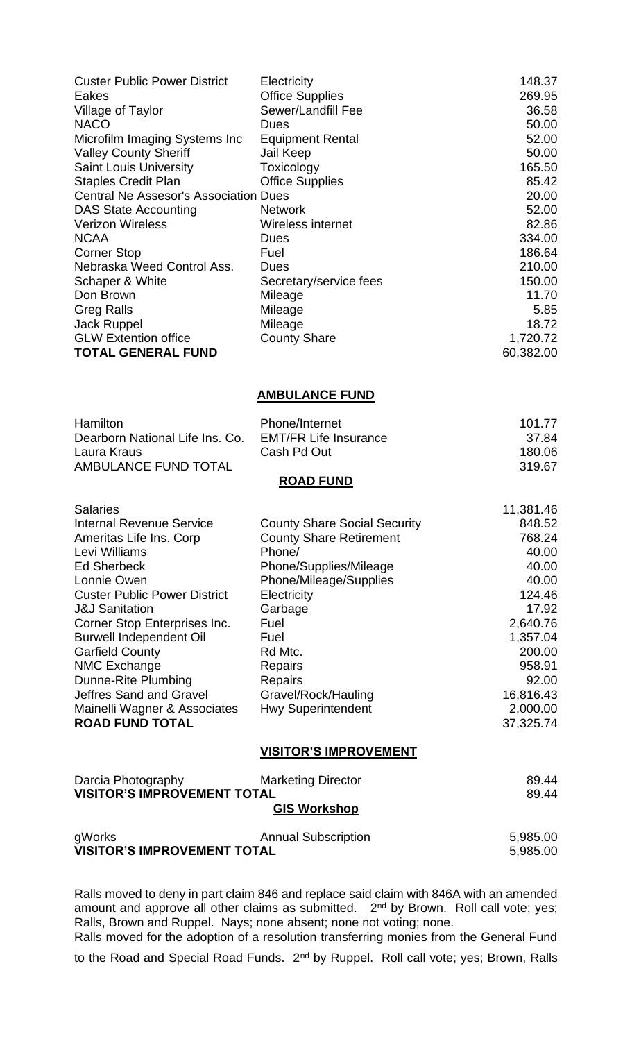| <b>Custer Public Power District</b>          | Electricity             | 148.37    |
|----------------------------------------------|-------------------------|-----------|
| Eakes                                        | <b>Office Supplies</b>  | 269.95    |
| Village of Taylor                            | Sewer/Landfill Fee      | 36.58     |
| <b>NACO</b>                                  | Dues                    | 50.00     |
| Microfilm Imaging Systems Inc                | <b>Equipment Rental</b> | 52.00     |
| <b>Valley County Sheriff</b>                 | Jail Keep               | 50.00     |
| <b>Saint Louis University</b>                | Toxicology              | 165.50    |
| <b>Staples Credit Plan</b>                   | <b>Office Supplies</b>  | 85.42     |
| <b>Central Ne Assesor's Association Dues</b> |                         | 20.00     |
| <b>DAS State Accounting</b>                  | <b>Network</b>          | 52.00     |
| <b>Verizon Wireless</b>                      | Wireless internet       | 82.86     |
| <b>NCAA</b>                                  | Dues                    | 334.00    |
| <b>Corner Stop</b>                           | Fuel                    | 186.64    |
| Nebraska Weed Control Ass.                   | Dues                    | 210.00    |
| Schaper & White                              | Secretary/service fees  | 150.00    |
| Don Brown                                    | Mileage                 | 11.70     |
| <b>Greg Ralls</b>                            | Mileage                 | 5.85      |
| <b>Jack Ruppel</b>                           | Mileage                 | 18.72     |
| <b>GLW Extention office</b>                  | <b>County Share</b>     | 1,720.72  |
| <b>TOTAL GENERAL FUND</b>                    |                         | 60,382.00 |

## **AMBULANCE FUND**

| <b>Hamilton</b>                 | Phone/Internet               | 101.77 |
|---------------------------------|------------------------------|--------|
| Dearborn National Life Ins. Co. | <b>EMT/FR Life Insurance</b> | -37.84 |
| Laura Kraus                     | Cash Pd Out                  | 180.06 |
| AMBULANCE FUND TOTAL            |                              | 319.67 |
|                                 | <b>DOAD EIIND</b>            |        |

| <b>Salaries</b>                     |                                     | 11,381.46 |
|-------------------------------------|-------------------------------------|-----------|
| <b>Internal Revenue Service</b>     | <b>County Share Social Security</b> | 848.52    |
| Ameritas Life Ins. Corp             | <b>County Share Retirement</b>      | 768.24    |
| Levi Williams                       | Phone/                              | 40.00     |
| <b>Ed Sherbeck</b>                  | Phone/Supplies/Mileage              | 40.00     |
| Lonnie Owen                         | Phone/Mileage/Supplies              | 40.00     |
| <b>Custer Public Power District</b> | Electricity                         | 124.46    |
| <b>J&amp;J Sanitation</b>           | Garbage                             | 17.92     |
| Corner Stop Enterprises Inc.        | Fuel                                | 2,640.76  |
| <b>Burwell Independent Oil</b>      | Fuel                                | 1,357.04  |
| <b>Garfield County</b>              | Rd Mtc.                             | 200.00    |
| NMC Exchange                        | <b>Repairs</b>                      | 958.91    |
| Dunne-Rite Plumbing                 | <b>Repairs</b>                      | 92.00     |
| Jeffres Sand and Gravel             | Gravel/Rock/Hauling                 | 16,816.43 |
| Mainelli Wagner & Associates        | <b>Hwy Superintendent</b>           | 2,000.00  |
| <b>ROAD FUND TOTAL</b>              |                                     | 37,325.74 |

## **VISITOR'S IMPROVEMENT**

| Darcia Photography                 | <b>Marketing Director</b>  | 89.44    |
|------------------------------------|----------------------------|----------|
| <b>VISITOR'S IMPROVEMENT TOTAL</b> |                            | 89.44    |
|                                    | <b>GIS Workshop</b>        |          |
| gWorks                             | <b>Annual Subscription</b> | 5,985.00 |
| <b>VISITOR'S IMPROVEMENT TOTAL</b> |                            | 5,985.00 |

Ralls moved to deny in part claim 846 and replace said claim with 846A with an amended amount and approve all other claims as submitted. 2<sup>nd</sup> by Brown. Roll call vote; yes; Ralls, Brown and Ruppel. Nays; none absent; none not voting; none.

Ralls moved for the adoption of a resolution transferring monies from the General Fund

to the Road and Special Road Funds. 2<sup>nd</sup> by Ruppel. Roll call vote; yes; Brown, Ralls